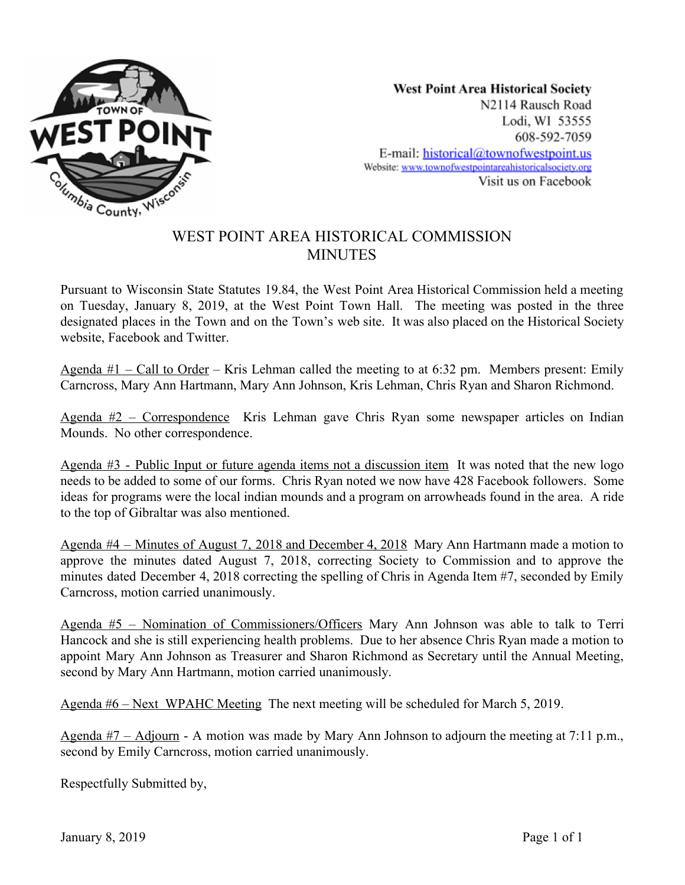

**West Point Area Historical Society** N2114 Rausch Road Lodi, WI 53555 608-592-7059 E-mail: historical@townofwestpoint.us Website: www.townofwestpointareahistoricalsociety.org Visit us on Facebook

## WEST POINT AREA HISTORICAL COMMISSION **MINUTES**

Pursuant to Wisconsin State Statutes 19.84, the West Point Area Historical Commission held a meeting on Tuesday, January 8, 2019, at the West Point Town Hall. The meeting was posted in the three designated places in the Town and on the Town's web site. It was also placed on the Historical Society website, Facebook and Twitter.

Agenda  $#1 -$ Call to Order – Kris Lehman called the meeting to at 6:32 pm. Members present: Emily Carncross, Mary Ann Hartmann, Mary Ann Johnson, Kris Lehman, Chris Ryan and Sharon Richmond.

Agenda #2 – Correspondence Kris Lehman gave Chris Ryan some newspaper articles on Indian Mounds. No other correspondence.

Agenda #3 - Public Input or future agenda items not a discussion item It was noted that the new logo needs to be added to some of our forms. Chris Ryan noted we now have 428 Facebook followers. Some ideas for programs were the local indian mounds and a program on arrowheads found in the area. A ride to the top of Gibraltar was also mentioned.

Agenda #4 – Minutes of August 7, 2018 and December 4, 2018 Mary Ann Hartmann made a motion to approve the minutes dated August 7, 2018, correcting Society to Commission and to approve the minutes dated December 4, 2018 correcting the spelling of Chris in Agenda Item #7, seconded by Emily Carncross, motion carried unanimously.

Agenda #5 – Nomination of Commissioners/Officers Mary Ann Johnson was able to talk to Terri Hancock and she is still experiencing health problems. Due to her absence Chris Ryan made a motion to appoint Mary Ann Johnson as Treasurer and Sharon Richmond as Secretary until the Annual Meeting, second by Mary Ann Hartmann, motion carried unanimously.

Agenda #6 – Next WPAHC Meeting The next meeting will be scheduled for March 5, 2019.

Agenda  $#7 -$  Adjourn - A motion was made by Mary Ann Johnson to adjourn the meeting at 7:11 p.m., second by Emily Carncross, motion carried unanimously.

Respectfully Submitted by,